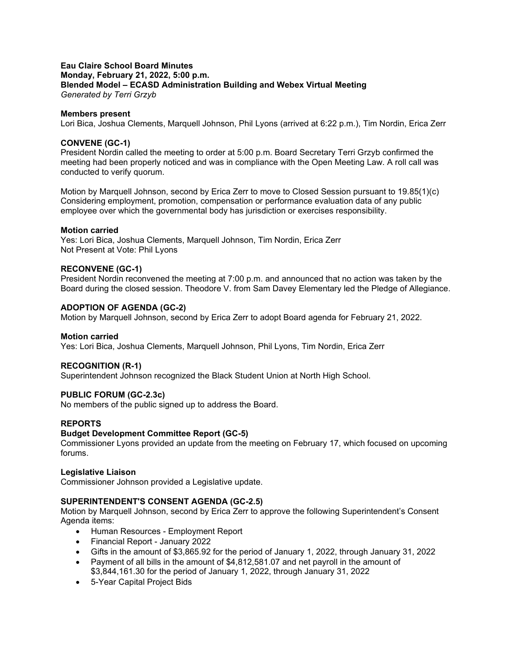## **Eau Claire School Board Minutes Monday, February 21, 2022, 5:00 p.m. Blended Model – ECASD Administration Building and Webex Virtual Meeting** *Generated by Terri Grzyb*

## **Members present**

Lori Bica, Joshua Clements, Marquell Johnson, Phil Lyons (arrived at 6:22 p.m.), Tim Nordin, Erica Zerr

## **CONVENE (GC-1)**

President Nordin called the meeting to order at 5:00 p.m. Board Secretary Terri Grzyb confirmed the meeting had been properly noticed and was in compliance with the Open Meeting Law. A roll call was conducted to verify quorum.

Motion by Marquell Johnson, second by Erica Zerr to move to Closed Session pursuant to 19.85(1)(c) Considering employment, promotion, compensation or performance evaluation data of any public employee over which the governmental body has jurisdiction or exercises responsibility.

## **Motion carried**

Yes: Lori Bica, Joshua Clements, Marquell Johnson, Tim Nordin, Erica Zerr Not Present at Vote: Phil Lyons

## **RECONVENE (GC-1)**

President Nordin reconvened the meeting at 7:00 p.m. and announced that no action was taken by the Board during the closed session. Theodore V. from Sam Davey Elementary led the Pledge of Allegiance.

## **ADOPTION OF AGENDA (GC-2)**

Motion by Marquell Johnson, second by Erica Zerr to adopt Board agenda for February 21, 2022.

### **Motion carried**

Yes: Lori Bica, Joshua Clements, Marquell Johnson, Phil Lyons, Tim Nordin, Erica Zerr

# **RECOGNITION (R-1)**

Superintendent Johnson recognized the Black Student Union at North High School.

# **PUBLIC FORUM (GC-2.3c)**

No members of the public signed up to address the Board.

### **REPORTS**

### **Budget Development Committee Report (GC-5)**

Commissioner Lyons provided an update from the meeting on February 17, which focused on upcoming forums.

# **Legislative Liaison**

Commissioner Johnson provided a Legislative update.

# **SUPERINTENDENT'S CONSENT AGENDA (GC-2.5)**

Motion by Marquell Johnson, second by Erica Zerr to approve the following Superintendent's Consent Agenda items:

- Human Resources Employment Report
- Financial Report January 2022
- Gifts in the amount of \$3,865.92 for the period of January 1, 2022, through January 31, 2022
- Payment of all bills in the amount of \$4,812,581.07 and net payroll in the amount of \$3,844,161.30 for the period of January 1, 2022, through January 31, 2022
- 5-Year Capital Project Bids